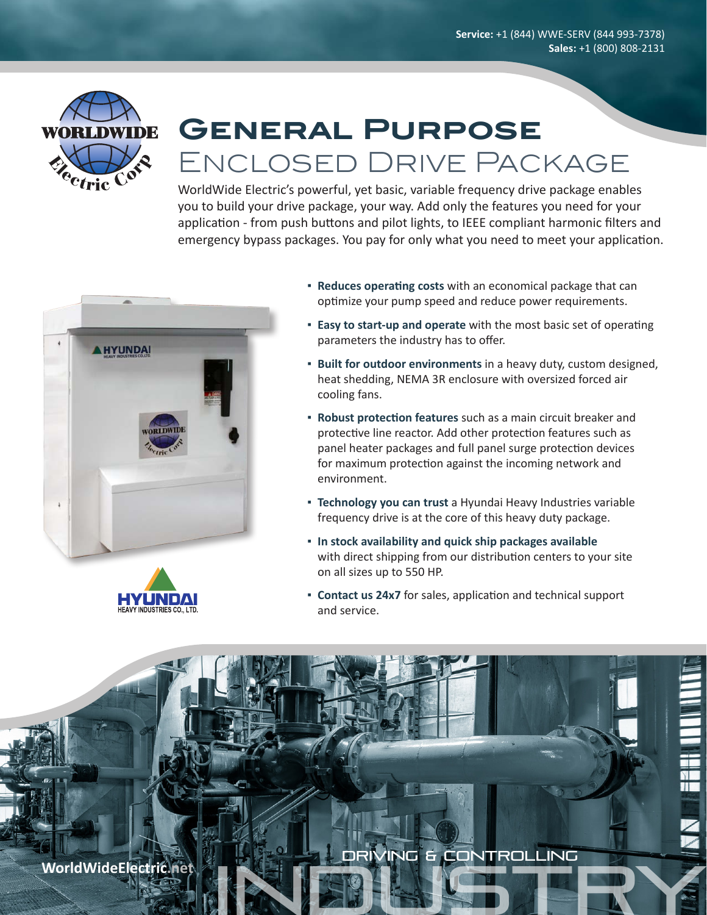

# **General Purpose** Enclosed Drive Package

WorldWide Electric's powerful, yet basic, variable frequency drive package enables you to build your drive package, your way. Add only the features you need for your application - from push buttons and pilot lights, to IEEE compliant harmonic filters and emergency bypass packages. You pay for only what you need to meet your application.





- **▪ Reduces operating costs** with an economical package that can optimize your pump speed and reduce power requirements.
- **Easy to start-up and operate** with the most basic set of operating parameters the industry has to offer.
- **▪ Built for outdoor environments** in a heavy duty, custom designed, heat shedding, NEMA 3R enclosure with oversized forced air cooling fans.
- **▪ Robust protection features** such as a main circuit breaker and protective line reactor. Add other protection features such as panel heater packages and full panel surge protection devices for maximum protection against the incoming network and environment.
- **EXECO FIGHT FIGHTS TECHNOLOGY FIGHTS Technology you** can trust a Hyundai Heavy Industries variable frequency drive is at the core of this heavy duty package.
- **▪ In stock availability and quick ship packages available** with direct shipping from our distribution centers to your site on all sizes up to 550 HP.
- **▪ Contact us 24x7** for sales, application and technical support and service.